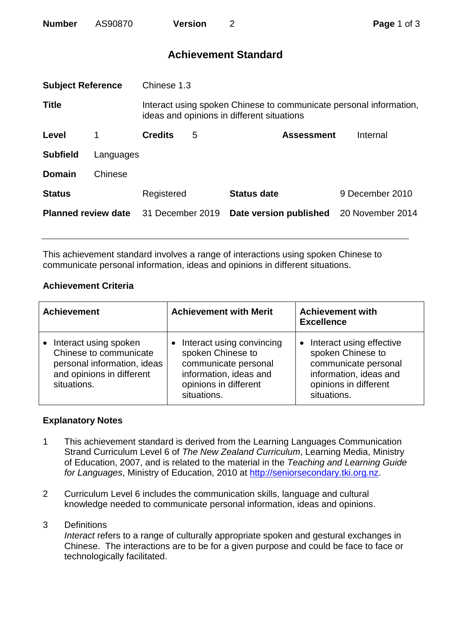| <b>Number</b> | AS90870 | <b>Version</b> |  |
|---------------|---------|----------------|--|
|---------------|---------|----------------|--|

# **Achievement Standard**

| <b>Subject Reference</b><br>Chinese 1.3 |           |                                                                                                                  |   |                        |                  |
|-----------------------------------------|-----------|------------------------------------------------------------------------------------------------------------------|---|------------------------|------------------|
| <b>Title</b>                            |           | Interact using spoken Chinese to communicate personal information,<br>ideas and opinions in different situations |   |                        |                  |
| Level                                   |           | <b>Credits</b>                                                                                                   | 5 | <b>Assessment</b>      | Internal         |
| <b>Subfield</b>                         | Languages |                                                                                                                  |   |                        |                  |
| <b>Domain</b>                           | Chinese   |                                                                                                                  |   |                        |                  |
| <b>Status</b>                           |           | Registered                                                                                                       |   | <b>Status date</b>     | 9 December 2010  |
| <b>Planned review date</b>              |           | 31 December 2019                                                                                                 |   | Date version published | 20 November 2014 |
|                                         |           |                                                                                                                  |   |                        |                  |

This achievement standard involves a range of interactions using spoken Chinese to communicate personal information, ideas and opinions in different situations.

## **Achievement Criteria**

| <b>Achievement</b>                                                                                                         | <b>Achievement with Merit</b>                                                                                                            | <b>Achievement with</b><br><b>Excellence</b>                                                                                                         |  |
|----------------------------------------------------------------------------------------------------------------------------|------------------------------------------------------------------------------------------------------------------------------------------|------------------------------------------------------------------------------------------------------------------------------------------------------|--|
| Interact using spoken<br>Chinese to communicate<br>personal information, ideas<br>and opinions in different<br>situations. | Interact using convincing<br>spoken Chinese to<br>communicate personal<br>information, ideas and<br>opinions in different<br>situations. | Interact using effective<br>$\bullet$<br>spoken Chinese to<br>communicate personal<br>information, ideas and<br>opinions in different<br>situations. |  |

### **Explanatory Notes**

- 1 This achievement standard is derived from the Learning Languages Communication Strand Curriculum Level 6 of *The New Zealand Curriculum*, Learning Media, Ministry of Education, 2007, and is related to the material in the *Teaching and Learning Guide for Languages*, Ministry of Education, 2010 at [http://seniorsecondary.tki.org.nz.](http://seniorsecondary.tki.org.nz/)
- 2 Curriculum Level 6 includes the communication skills, language and cultural knowledge needed to communicate personal information, ideas and opinions.

#### 3 Definitions

*Interact* refers to a range of culturally appropriate spoken and gestural exchanges in Chinese. The interactions are to be for a given purpose and could be face to face or technologically facilitated.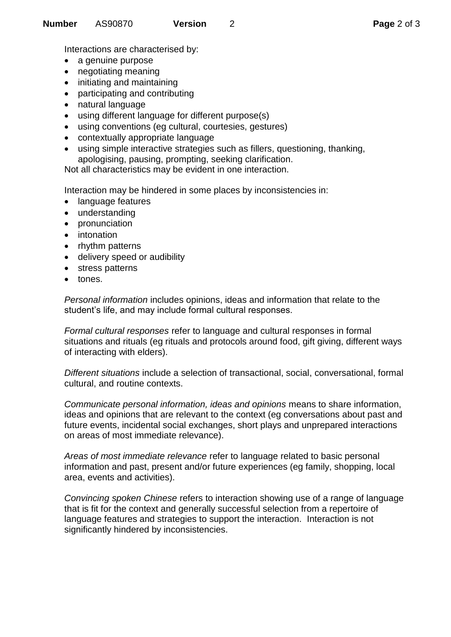Interactions are characterised by:

- a genuine purpose
- negotiating meaning
- initiating and maintaining
- participating and contributing
- natural language
- using different language for different purpose(s)
- using conventions (eg cultural, courtesies, gestures)
- contextually appropriate language
- using simple interactive strategies such as fillers, questioning, thanking, apologising, pausing, prompting, seeking clarification.

Not all characteristics may be evident in one interaction.

Interaction may be hindered in some places by inconsistencies in:

- language features
- understanding
- pronunciation
- intonation
- rhythm patterns
- delivery speed or audibility
- stress patterns
- tones.

*Personal information* includes opinions, ideas and information that relate to the student's life, and may include formal cultural responses.

*Formal cultural responses* refer to language and cultural responses in formal situations and rituals (eg rituals and protocols around food, gift giving, different ways of interacting with elders).

*Different situations* include a selection of transactional, social, conversational, formal cultural, and routine contexts.

*Communicate personal information, ideas and opinions* means to share information, ideas and opinions that are relevant to the context (eg conversations about past and future events, incidental social exchanges, short plays and unprepared interactions on areas of most immediate relevance).

*Areas of most immediate relevance* refer to language related to basic personal information and past, present and/or future experiences (eg family, shopping, local area, events and activities).

*Convincing spoken Chinese* refers to interaction showing use of a range of language that is fit for the context and generally successful selection from a repertoire of language features and strategies to support the interaction. Interaction is not significantly hindered by inconsistencies.